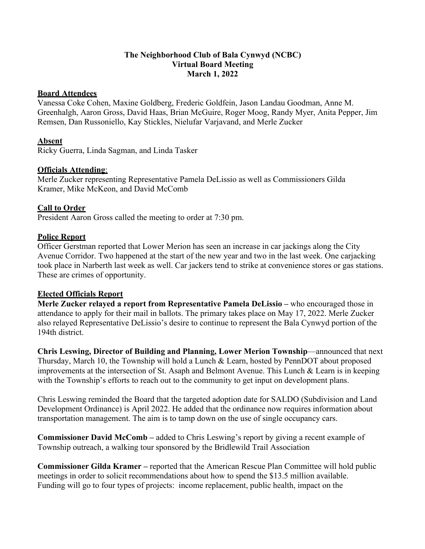## **The Neighborhood Club of Bala Cynwyd (NCBC) Virtual Board Meeting March 1, 2022**

## **Board Attendees**

Vanessa Coke Cohen, Maxine Goldberg, Frederic Goldfein, Jason Landau Goodman, Anne M. Greenhalgh, Aaron Gross, David Haas, Brian McGuire, Roger Moog, Randy Myer, Anita Pepper, Jim Remsen, Dan Russoniello, Kay Stickles, Nielufar Varjavand, and Merle Zucker

## **Absent**

Ricky Guerra, Linda Sagman, and Linda Tasker

## **Officials Attending**:

Merle Zucker representing Representative Pamela DeLissio as well as Commissioners Gilda Kramer, Mike McKeon, and David McComb

## **Call to Order**

President Aaron Gross called the meeting to order at 7:30 pm.

## **Police Report**

Officer Gerstman reported that Lower Merion has seen an increase in car jackings along the City Avenue Corridor. Two happened at the start of the new year and two in the last week. One carjacking took place in Narberth last week as well. Car jackers tend to strike at convenience stores or gas stations. These are crimes of opportunity.

#### **Elected Officials Report**

**Merle Zucker relayed a report from Representative Pamela DeLissio –** who encouraged those in attendance to apply for their mail in ballots. The primary takes place on May 17, 2022. Merle Zucker also relayed Representative DeLissio's desire to continue to represent the Bala Cynwyd portion of the 194th district.

**Chris Leswing, Director of Building and Planning, Lower Merion Township**—announced that next Thursday, March 10, the Township will hold a Lunch & Learn, hosted by PennDOT about proposed improvements at the intersection of St. Asaph and Belmont Avenue. This Lunch & Learn is in keeping with the Township's efforts to reach out to the community to get input on development plans.

Chris Leswing reminded the Board that the targeted adoption date for SALDO (Subdivision and Land Development Ordinance) is April 2022. He added that the ordinance now requires information about transportation management. The aim is to tamp down on the use of single occupancy cars.

**Commissioner David McComb –** added to Chris Leswing's report by giving a recent example of Township outreach, a walking tour sponsored by the Bridlewild Trail Association

**Commissioner Gilda Kramer –** reported that the American Rescue Plan Committee will hold public meetings in order to solicit recommendations about how to spend the \$13.5 million available. Funding will go to four types of projects: income replacement, public health, impact on the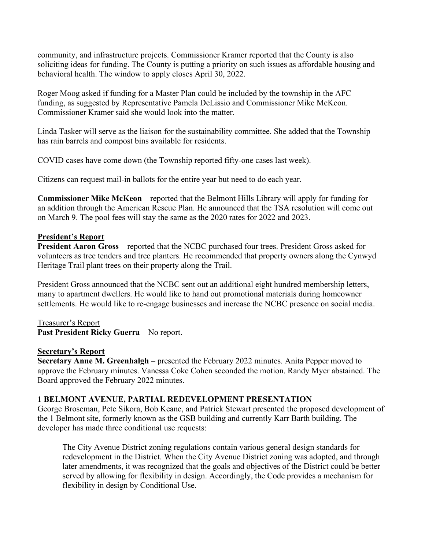community, and infrastructure projects. Commissioner Kramer reported that the County is also soliciting ideas for funding. The County is putting a priority on such issues as affordable housing and behavioral health. The window to apply closes April 30, 2022.

Roger Moog asked if funding for a Master Plan could be included by the township in the AFC funding, as suggested by Representative Pamela DeLissio and Commissioner Mike McKeon. Commissioner Kramer said she would look into the matter.

Linda Tasker will serve as the liaison for the sustainability committee. She added that the Township has rain barrels and compost bins available for residents.

COVID cases have come down (the Township reported fifty-one cases last week).

Citizens can request mail-in ballots for the entire year but need to do each year.

**Commissioner Mike McKeon** – reported that the Belmont Hills Library will apply for funding for an addition through the American Rescue Plan. He announced that the TSA resolution will come out on March 9. The pool fees will stay the same as the 2020 rates for 2022 and 2023.

# **President's Report**

**President Aaron Gross** – reported that the NCBC purchased four trees. President Gross asked for volunteers as tree tenders and tree planters. He recommended that property owners along the Cynwyd Heritage Trail plant trees on their property along the Trail.

President Gross announced that the NCBC sent out an additional eight hundred membership letters, many to apartment dwellers. He would like to hand out promotional materials during homeowner settlements. He would like to re-engage businesses and increase the NCBC presence on social media.

Treasurer's Report **Past President Ricky Guerra** – No report.

## **Secretary's Report**

**Secretary Anne M. Greenhalgh** – presented the February 2022 minutes. Anita Pepper moved to approve the February minutes. Vanessa Coke Cohen seconded the motion. Randy Myer abstained. The Board approved the February 2022 minutes.

## **1 BELMONT AVENUE, PARTIAL REDEVELOPMENT PRESENTATION**

George Broseman, Pete Sikora, Bob Keane, and Patrick Stewart presented the proposed development of the 1 Belmont site, formerly known as the GSB building and currently Karr Barth building. The developer has made three conditional use requests:

The City Avenue District zoning regulations contain various general design standards for redevelopment in the District. When the City Avenue District zoning was adopted, and through later amendments, it was recognized that the goals and objectives of the District could be better served by allowing for flexibility in design. Accordingly, the Code provides a mechanism for flexibility in design by Conditional Use.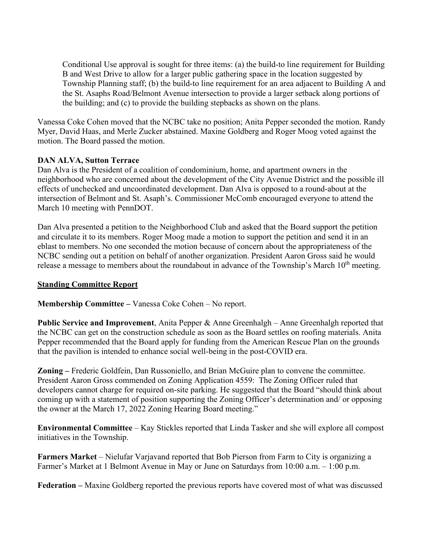Conditional Use approval is sought for three items: (a) the build-to line requirement for Building B and West Drive to allow for a larger public gathering space in the location suggested by Township Planning staff; (b) the build-to line requirement for an area adjacent to Building A and the St. Asaphs Road/Belmont Avenue intersection to provide a larger setback along portions of the building; and (c) to provide the building stepbacks as shown on the plans.

Vanessa Coke Cohen moved that the NCBC take no position; Anita Pepper seconded the motion. Randy Myer, David Haas, and Merle Zucker abstained. Maxine Goldberg and Roger Moog voted against the motion. The Board passed the motion.

## **DAN ALVA, Sutton Terrace**

Dan Alva is the President of a coalition of condominium, home, and apartment owners in the neighborhood who are concerned about the development of the City Avenue District and the possible ill effects of unchecked and uncoordinated development. Dan Alva is opposed to a round-about at the intersection of Belmont and St. Asaph's. Commissioner McComb encouraged everyone to attend the March 10 meeting with PennDOT.

Dan Alva presented a petition to the Neighborhood Club and asked that the Board support the petition and circulate it to its members. Roger Moog made a motion to support the petition and send it in an eblast to members. No one seconded the motion because of concern about the appropriateness of the NCBC sending out a petition on behalf of another organization. President Aaron Gross said he would release a message to members about the roundabout in advance of the Township's March  $10<sup>th</sup>$  meeting.

#### **Standing Committee Report**

**Membership Committee –** Vanessa Coke Cohen – No report.

**Public Service and Improvement**, Anita Pepper & Anne Greenhalgh – Anne Greenhalgh reported that the NCBC can get on the construction schedule as soon as the Board settles on roofing materials. Anita Pepper recommended that the Board apply for funding from the American Rescue Plan on the grounds that the pavilion is intended to enhance social well-being in the post-COVID era.

**Zoning –** Frederic Goldfein, Dan Russoniello, and Brian McGuire plan to convene the committee. President Aaron Gross commended on Zoning Application 4559: The Zoning Officer ruled that developers cannot charge for required on-site parking. He suggested that the Board "should think about coming up with a statement of position supporting the Zoning Officer's determination and/ or opposing the owner at the March 17, 2022 Zoning Hearing Board meeting."

**Environmental Committee** – Kay Stickles reported that Linda Tasker and she will explore all compost initiatives in the Township.

**Farmers Market** – Nielufar Varjavand reported that Bob Pierson from Farm to City is organizing a Farmer's Market at 1 Belmont Avenue in May or June on Saturdays from 10:00 a.m. – 1:00 p.m.

**Federation –** Maxine Goldberg reported the previous reports have covered most of what was discussed